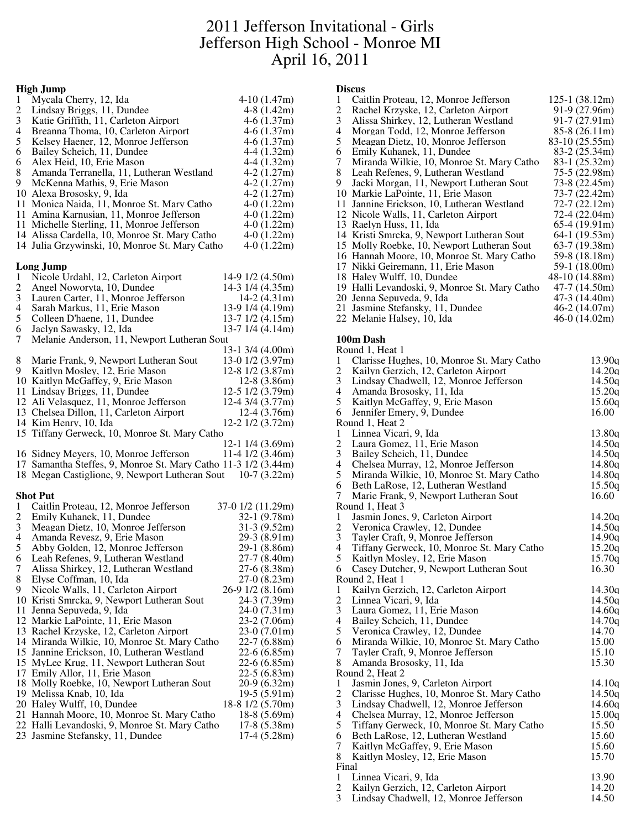## 2011 Jefferson Invitational - Girls Jefferson High School - Monroe MI April 16, 2011

## **High Jump**

|                          | тиди јишр                                                         |                        |
|--------------------------|-------------------------------------------------------------------|------------------------|
| 1                        | Mycala Cherry, 12, Ida                                            | $4-10(1.47m)$          |
| $\overline{c}$           | Lindsay Briggs, 11, Dundee                                        | $4-8(1.42m)$           |
| 3                        | Katie Griffith, 11, Carleton Airport                              | $4-6(1.37m)$           |
| $\overline{\mathcal{L}}$ | Breanna Thoma, 10, Carleton Airport                               | $4-6(1.37m)$           |
| 5                        | Kelsey Haener, 12, Monroe Jefferson                               | $4-6(1.37m)$           |
| 6                        | Bailey Scheich, 11, Dundee                                        | $4-4(1.32m)$           |
| 6                        | Alex Heid, 10, Erie Mason                                         | $4-4(1.32m)$           |
| 8                        | Amanda Terranella, 11, Lutheran Westland                          | $4-2(1.27m)$           |
| 9                        | McKenna Mathis, 9, Erie Mason                                     | $4-2(1.27m)$           |
|                          | 10 Alexa Brososky, 9, Ida                                         | $4-2(1.27m)$           |
|                          | 11 Monica Naida, 11, Monroe St. Mary Catho                        | $4-0(1.22m)$           |
|                          | 11 Amina Karnusian, 11, Monroe Jefferson                          | $4-0(1.22m)$           |
|                          | 11 Michelle Sterling, 11, Monroe Jefferson                        | $4-0(1.22m)$           |
|                          | 14 Alissa Cardella, 10, Monroe St. Mary Catho                     | $4-0(1.22m)$           |
|                          |                                                                   |                        |
|                          | 14 Julia Grzywinski, 10, Monroe St. Mary Catho                    | $4-0(1.22m)$           |
|                          |                                                                   |                        |
|                          | Long Jump                                                         |                        |
| 1                        | Nicole Urdahl, 12, Carleton Airport                               | 14-9 1/2 (4.50m)       |
| $\overline{c}$           | Angel Noworyta, 10, Dundee                                        | 14-3 1/4 (4.35m)       |
| 3                        | Lauren Carter, 11, Monroe Jefferson                               | $14-2(4.31m)$          |
| $\overline{\mathcal{L}}$ | Sarah Markus, 11, Erie Mason                                      | 13-9 1/4 (4.19m)       |
| 5                        | Colleen D'haene, 11, Dundee                                       | $13-7$ $1/2$ $(4.15m)$ |
| 6                        | Jaclyn Sawasky, 12, Ida                                           | 13-7 1/4 (4.14m)       |
| 7                        | Melanie Anderson, 11, Newport Lutheran Sout                       |                        |
|                          |                                                                   | $13-1$ 3/4 (4.00m)     |
| 8                        | Marie Frank, 9, Newport Lutheran Sout                             | 13-0 1/2 (3.97m)       |
| 9                        | Kaitlyn Mosley, 12, Erie Mason                                    | 12-8 1/2 (3.87m)       |
|                          | 10 Kaitlyn McGaffey, 9, Erie Mason                                | 12-8 (3.86m)           |
|                          | 11 Lindsay Briggs, 11, Dundee                                     | 12-5 1/2 (3.79m)       |
|                          | 12 Ali Velasquez, 11, Monroe Jefferson                            | 12-4 3/4 (3.77m)       |
|                          | 13 Chelsea Dillon, 11, Carleton Airport                           | 12-4 (3.76m)           |
|                          |                                                                   |                        |
|                          |                                                                   |                        |
|                          | 14 Kim Henry, 10, Ida                                             | 12-2 1/2 (3.72m)       |
|                          | 15 Tiffany Gerweck, 10, Monroe St. Mary Catho                     |                        |
|                          |                                                                   | 12-1 1/4 (3.69m)       |
|                          | 16 Sidney Meyers, 10, Monroe Jefferson                            | 11-4 1/2 (3.46m)       |
|                          | 17 Samantha Steffes, 9, Monroe St. Mary Catho 11-3 1/2 (3.44m)    |                        |
|                          | 18 Megan Castiglione, 9, Newport Lutheran Sout 10-7 (3.22m)       |                        |
|                          |                                                                   |                        |
|                          | <b>Shot Put</b>                                                   |                        |
| 1                        | Caitlin Proteau, 12, Monroe Jefferson                             | 37-0 1/2 (11.29m)      |
| $\overline{c}$           | Emily Kuhanek, 11, Dundee                                         | 32-1 (9.78m)           |
| 3                        | Meagan Dietz, 10, Monroe Jefferson                                | $31-3(9.52m)$          |
| $\overline{4}$           |                                                                   | 29-3 (8.91m)           |
| 5                        | Amanda Revesz, 9, Erie Mason<br>Abby Golden, 12, Monroe Jefferson | 29-1 (8.86m)           |
| 6                        |                                                                   |                        |
|                          | Leah Refenes, 9, Lutheran Westland                                | 27-7 (8.40m)           |
| 7                        | Alissa Shirkey, 12, Lutheran Westland                             | 27-6 (8.38m)           |
| 8                        | Elyse Coffman, 10, Ida                                            | $27-0(8.23m)$          |
| 9.                       | Nicole Walls, 11, Carleton Airport                                | 26-9 1/2 (8.16m)       |
|                          | 10 Kristi Smrcka, 9, Newport Lutheran Sout                        | 24-3 (7.39m)           |
|                          | 11 Jenna Sepuveda, 9, Ida                                         | $24-0(7.31m)$          |
|                          | 12 Markie LaPointe, 11, Erie Mason                                | 23-2 (7.06m)           |
|                          | 13 Rachel Krzyske, 12, Carleton Airport                           | $23-0(7.01m)$          |
|                          | 14 Miranda Wilkie, 10, Monroe St. Mary Catho                      | $22-7(6.88m)$          |
|                          | 15 Jannine Erickson, 10, Lutheran Westland                        | $22-6(6.85m)$          |
|                          | 15 MyLee Krug, 11, Newport Lutheran Sout                          | $22-6(6.85m)$          |
|                          | 17 Emily Allor, 11, Erie Mason                                    | $22-5(6.83m)$          |
|                          | 18 Molly Roebke, 10, Newport Lutheran Sout                        | $20-9(6.32m)$          |
|                          | 19 Melissa Knab, 10, Ida                                          | 19-5 (5.91m)           |
|                          | 20 Haley Wulff, 10, Dundee                                        | 18-8 1/2 (5.70m)       |
|                          | 21 Hannah Moore, 10, Monroe St. Mary Catho                        | $18-8(5.69m)$          |
|                          | 22 Halli Levandoski, 9, Monroe St. Mary Catho                     | $17-8(5.38m)$          |
|                          | 23 Jasmine Stefansky, 11, Dundee                                  | $17-4(5.28m)$          |

### **Discus**

| 1  | Caitlin Proteau, 12, Monroe Jefferson         | $125-1(38.12m)$ |
|----|-----------------------------------------------|-----------------|
| 2  | Rachel Krzyske, 12, Carleton Airport          | 91-9 (27.96m)   |
| 3  | Alissa Shirkey, 12, Lutheran Westland         | $91-7(27.91m)$  |
| 4  | Morgan Todd, 12, Monroe Jefferson             | $85-8(26.11m)$  |
| 5  | Meagan Dietz, 10, Monroe Jefferson            | 83-10 (25.55m)  |
| 6  | Emily Kuhanek, 11, Dundee                     | 83-2 (25.34m)   |
| 7  | Miranda Wilkie, 10, Monroe St. Mary Catho     | 83-1 (25.32m)   |
| 8. | Leah Refenes, 9, Lutheran Westland            | 75-5 (22.98m)   |
| 9  | Jacki Morgan, 11, Newport Lutheran Sout       | 73-8 (22.45m)   |
| 10 | Markie LaPointe, 11, Erie Mason               | 73-7 (22.42m)   |
| 11 | Jannine Erickson, 10, Lutheran Westland       | 72-7 (22.12m)   |
|    | 12 Nicole Walls, 11, Carleton Airport         | 72-4 (22.04m)   |
|    | 13 Raelyn Huss, 11, Ida                       | $65-4(19.91m)$  |
|    | 14 Kristi Smrcka, 9, Newport Lutheran Sout    | 64-1 (19.53m)   |
|    | 15 Molly Roebke, 10, Newport Lutheran Sout    | 63-7 (19.38m)   |
|    | 16 Hannah Moore, 10, Monroe St. Mary Catho    | 59-8 (18.18m)   |
|    | 17 Nikki Geiremann, 11, Erie Mason            | 59-1 (18.00m)   |
|    | 18 Haley Wulff, 10, Dundee                    | 48-10 (14.88m)  |
|    | 19 Halli Levandoski, 9, Monroe St. Mary Catho | 47-7 (14.50m)   |
|    | 20 Jenna Sepuveda, 9, Ida                     | 47-3 (14.40m)   |
|    | 21 Jasmine Stefansky, 11, Dundee              | $46-2(14.07m)$  |
|    | 22 Melanie Halsey, 10, Ida                    | 46-0 (14.02m)   |

#### **100m Dash**

|                          | Round 1, Heat 1                            |                    |
|--------------------------|--------------------------------------------|--------------------|
| 1                        | Clarisse Hughes, 10, Monroe St. Mary Catho | 13.90 <sub>a</sub> |
| $\frac{2}{3}$            | Kailyn Gerzich, 12, Carleton Airport       | 14.20q             |
|                          | Lindsay Chadwell, 12, Monroe Jefferson     | 14.50q             |
| $\overline{\mathbf{4}}$  | Amanda Brososky, 11, Ida                   | 15.20q             |
| 5                        | Kaitlyn McGaffey, 9, Erie Mason            | 15.60q             |
| 6                        | Jennifer Emery, 9, Dundee                  | 16.00              |
|                          | Round 1, Heat 2                            |                    |
| $\mathbf{1}$             | Linnea Vicari, 9, Ida                      | 13.80 <sub>q</sub> |
| $\overline{\mathbf{c}}$  | Laura Gomez, 11, Erie Mason                | 14.50q             |
| 3                        | Bailey Scheich, 11, Dundee                 | 14.50g             |
| 4                        | Chelsea Murray, 12, Monroe Jefferson       | 14.80q             |
| 5                        | Miranda Wilkie, 10, Monroe St. Mary Catho  | 14.80g             |
| 6                        | Beth LaRose, 12, Lutheran Westland         | 15.50q             |
| $\tau$                   | Marie Frank, 9, Newport Lutheran Sout      | 16.60              |
|                          | Round 1, Heat 3                            |                    |
| 1                        | Jasmin Jones, 9, Carleton Airport          | 14.20q             |
| $\overline{c}$           | Veronica Crawley, 12, Dundee               | 14.50g             |
| 3                        | Tayler Craft, 9, Monroe Jefferson          | 14.90q             |
| 4                        | Tiffany Gerweck, 10, Monroe St. Mary Catho | 15.20q             |
| 5                        | Kaitlyn Mosley, 12, Erie Mason             | 15.70q             |
| 6                        | Casey Dutcher, 9, Newport Lutheran Sout    | 16.30              |
|                          | Round 2, Heat 1                            |                    |
| 1                        | Kailyn Gerzich, 12, Carleton Airport       | 14.30q             |
| $\overline{c}$           | Linnea Vicari, 9, Ida                      | 14.50a             |
| 3                        | Laura Gomez, 11, Erie Mason                | 14.60q             |
| $\overline{\mathcal{L}}$ | Bailey Scheich, 11, Dundee                 | 14.70q             |
| 5                        | Veronica Crawley, 12, Dundee               | 14.70              |
| 6                        | Miranda Wilkie, 10, Monroe St. Mary Catho  | 15.00              |
| 7                        | Tayler Craft, 9, Monroe Jefferson          | 15.10              |
| 8                        | Amanda Brososky, 11, Ida                   | 15.30              |
|                          | Round 2, Heat 2                            |                    |
| 1                        | Jasmin Jones, 9, Carleton Airport          | 14.10q             |
| $\overline{c}$           | Clarisse Hughes, 10, Monroe St. Mary Catho | 14.50q             |
| 3                        | Lindsay Chadwell, 12, Monroe Jefferson     | 14.60q             |
| $\overline{\mathcal{L}}$ | Chelsea Murray, 12, Monroe Jefferson       | 15.00q             |
| 5                        | Tiffany Gerweck, 10, Monroe St. Mary Catho | 15.50              |
| 6                        | Beth LaRose, 12, Lutheran Westland         | 15.60              |
| 7                        | Kaitlyn McGaffey, 9, Erie Mason            | 15.60              |
| 8                        | Kaitlyn Mosley, 12, Erie Mason             | 15.70              |
|                          | Final                                      |                    |
| 1                        | Linnea Vicari, 9, Ida                      | 13.90              |

- 2 Kailyn Gerzich, 12, Carleton Airport 14.20
- Lindsay Chadwell, 12, Monroe Jefferson 14.50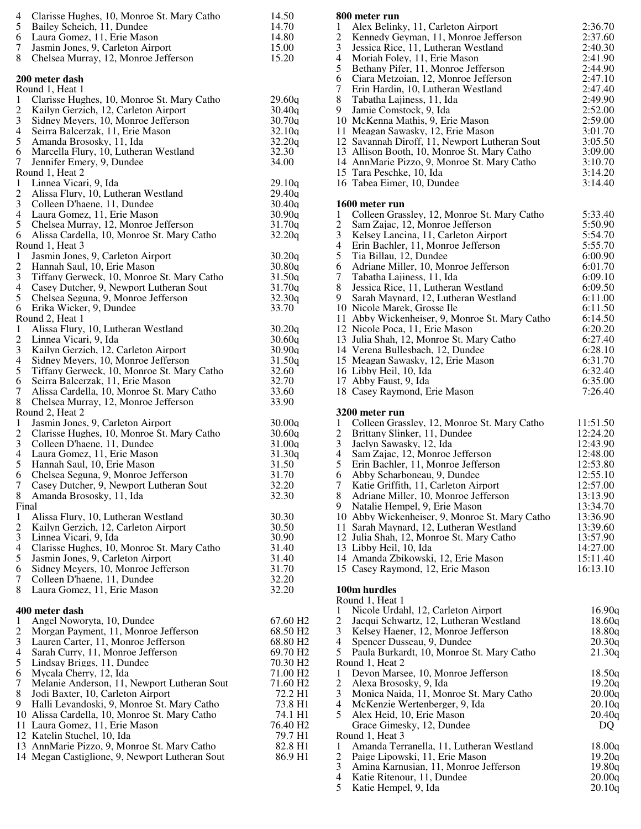| 4                        | Clarisse Hughes, 10, Monroe St. Mary Catho                                      | 14.50                |
|--------------------------|---------------------------------------------------------------------------------|----------------------|
| 5                        | Bailey Scheich, 11, Dundee                                                      | 14.70                |
| 6                        | Laura Gomez, 11, Erie Mason                                                     | 14.80                |
| 7                        | Jasmin Jones, 9, Carleton Airport                                               | 15.00                |
| 8                        | Chelsea Murray, 12, Monroe Jefferson                                            | 15.20                |
|                          |                                                                                 |                      |
|                          | 200 meter dash<br>Round 1, Heat 1                                               |                      |
| 1                        | Clarisse Hughes, 10, Monroe St. Mary Catho                                      | 29.60a               |
| $\overline{c}$           | Kailyn Gerzich, 12, Carleton Airport                                            | 30.40q               |
| 3                        | Sidney Meyers, 10, Monroe Jefferson                                             | 30.70q               |
| $\overline{\mathcal{L}}$ | Seirra Balcerzak, 11, Erie Mason                                                | 32.10q               |
| 5                        | Amanda Brososky, 11, Ida                                                        | 32.20q               |
| 6                        | Marcella Flury, 10, Lutheran Westland                                           | 32.30                |
| $\boldsymbol{7}$         | Jennifer Emery, 9, Dundee                                                       | 34.00                |
|                          | Round 1, Heat 2                                                                 |                      |
| 1                        | Linnea Vicari, 9, Ida                                                           | 29.10q               |
| $\overline{\mathbf{c}}$  | Alissa Flury, 10, Lutheran Westland                                             | 29.40q               |
| 3                        | Colleen D'haene, 11, Dundee                                                     | 30.40q               |
| $\overline{\mathcal{L}}$ | Laura Gomez, 11, Erie Mason                                                     | 30.90g               |
| 5                        | Chelsea Murray, 12, Monroe Jefferson                                            | 31.70q               |
| 6                        | Alissa Cardella, 10, Monroe St. Mary Catho                                      | 32.20q               |
|                          | Round 1, Heat 3                                                                 |                      |
| $\mathbf{1}$             | Jasmin Jones, 9, Carleton Airport                                               | 30.20q               |
| $\overline{c}$           | Hannah Saul, 10, Erie Mason                                                     | 30.80q               |
| 3                        | Tiffany Gerweck, 10, Monroe St. Mary Catho                                      | 31.50q               |
| $\overline{\mathcal{L}}$ | Casey Dutcher, 9, Newport Lutheran Sout                                         | 31.70q               |
| 5                        | Chelsea Seguna, 9, Monroe Jefferson                                             | 32.30g               |
| 6                        | Erika Wicker, 9, Dundee                                                         | 33.70                |
|                          | Round 2, Heat 1                                                                 |                      |
| $\mathbf{1}$             | Alissa Flury, 10, Lutheran Westland                                             | 30.20q               |
| $\frac{2}{3}$            | Linnea Vicari, 9, Ida                                                           | 30.60q               |
|                          | Kailyn Gerzich, 12, Carleton Airport                                            | 30.90q               |
| $\overline{\mathcal{L}}$ | Sidney Meyers, 10, Monroe Jefferson                                             | 31.50q               |
| 5                        | Tiffany Gerweck, 10, Monroe St. Mary Catho                                      | 32.60                |
| 6                        | Seirra Balcerzak, 11, Erie Mason                                                | 32.70                |
| 7                        | Alissa Cardella, 10, Monroe St. Mary Catho                                      | 33.60                |
| 8                        | Chelsea Murray, 12, Monroe Jefferson                                            | 33.90                |
|                          | Round 2, Heat 2                                                                 |                      |
| $\mathbf{1}$             | Jasmin Jones, 9, Carleton Airport                                               | 30.00q               |
| $\overline{c}$           | Clarisse Hughes, 10, Monroe St. Mary Catho                                      | 30.60q               |
| 3                        | Colleen D'haene, 11, Dundee                                                     | 31.00q               |
| 4                        | Laura Gomez, 11, Erie Mason                                                     | 31.30q               |
| 5                        | Hannah Saul, 10, Erie Mason                                                     | 31.50                |
| 6                        | Chelsea Seguna, 9, Monroe Jefferson                                             | 31.70                |
| 7                        | Casey Dutcher, 9, Newport Lutheran Sout                                         | 32.20                |
| 8                        | Amanda Brososky, 11, Ida                                                        | 32.30                |
|                          | Final<br>Alissa Flury, 10, Lutheran Westland                                    |                      |
| 1<br>$\overline{c}$      | Kailyn Gerzich, 12, Carleton Airport                                            | 30.30<br>30.50       |
| 3                        | Linnea Vicari, 9, Ida                                                           | 30.90                |
| 4                        |                                                                                 | 31.40                |
| 5                        | Clarisse Hughes, 10, Monroe St. Mary Catho<br>Jasmin Jones, 9, Carleton Airport | 31.40                |
| 6                        | Sidney Meyers, 10, Monroe Jefferson                                             | 31.70                |
| 7                        | Colleen D'haene, 11, Dundee                                                     | 32.20                |
| 8                        | Laura Gomez, 11, Erie Mason                                                     | 32.20                |
|                          |                                                                                 |                      |
|                          | 400 meter dash                                                                  |                      |
| 1                        | Angel Noworyta, 10, Dundee                                                      | 67.60 H <sub>2</sub> |
| $\overline{c}$           | Morgan Payment, 11, Monroe Jefferson                                            | 68.50 H <sub>2</sub> |
| 3                        | Lauren Carter, 11, Monroe Jefferson                                             | 68.80 H <sub>2</sub> |
| 4                        | Sarah Curry, 11, Monroe Jefferson                                               | 69.70 H2             |
| 5                        | Lindsay Briggs, 11, Dundee                                                      | 70.30 H <sub>2</sub> |
| 6                        | Mycala Cherry, 12, Ida                                                          | 71.00 H <sub>2</sub> |
| 7                        | Melanie Anderson, 11, Newport Lutheran Sout                                     | 71.60 H <sub>2</sub> |
| 8                        | Jodi Baxter, 10, Carleton Airport                                               | 72.2 H1              |
| 9                        | Halli Levandoski, 9, Monroe St. Mary Catho                                      | 73.8 H1              |
|                          | 10 Alissa Cardella, 10, Monroe St. Mary Catho                                   | 74.1 H1              |
|                          | 11 Laura Gomez, 11, Erie Mason                                                  | 76.40 H <sub>2</sub> |
|                          | 12 Katelin Stuchel, 10, Ida                                                     | 79.7 H1              |
|                          | 13 AnnMarie Pizzo, 9, Monroe St. Mary Catho                                     | 82.8 H1              |
|                          | 14 Megan Castiglione, 9, Newport Lutheran Sout                                  | 86.9 H1              |
|                          |                                                                                 |                      |
|                          |                                                                                 |                      |

## **800 meter run**

| 1<br>$\overline{c}$                | Alex Belinky, 11, Carleton Airport<br>Kennedy Geyman, 11, Monroe Jefferson                | 2:36.70<br>2:37.60   |
|------------------------------------|-------------------------------------------------------------------------------------------|----------------------|
| 3<br>$\overline{4}$                | Jessica Rice, 11, Lutheran Westland<br>Moriah Foley, 11, Erie Mason                       | 2:40.30<br>2:41.90   |
| 5                                  | Bethany Pifer, 11, Monroe Jefferson                                                       | 2:44.90              |
| 6<br>7                             | Ciara Metzoian, 12, Monroe Jefferson                                                      | 2:47.10              |
| 8                                  | Erin Hardin, 10, Lutheran Westland<br>Tabatha Lajiness, 11, Ida                           | 2:47.40<br>2:49.90   |
| 9                                  | Jamie Comstock, 9, Ida                                                                    | 2:52.00              |
|                                    | 10 McKenna Mathis, 9, Erie Mason                                                          | 2:59.00              |
|                                    | 11 Meagan Sawasky, 12, Erie Mason<br>12 Savannah Diroff, 11, Newport Lutheran Sout        | 3:01.70<br>3:05.50   |
|                                    | 13 Allison Booth, 10, Monroe St. Mary Catho                                               | 3:09.00              |
|                                    | 14 AnnMarie Pizzo, 9, Monroe St. Mary Catho                                               | 3:10.70              |
|                                    | 15 Tara Peschke, 10, Ida<br>16 Tabea Eimer, 10, Dundee                                    | 3:14.20<br>3:14.40   |
| 1                                  | 1600 meter run<br>Colleen Grassley, 12, Monroe St. Mary Catho                             | 5:33.40              |
| $\boldsymbol{2}$                   | Sam Zajac, 12, Monroe Jefferson                                                           | 5:50.90              |
| 3                                  | Kelsey Lancina, 11, Carleton Airport                                                      | 5:54.70              |
| $\overline{\mathcal{L}}$<br>5      | Erin Bachler, 11, Monroe Jefferson<br>Tia Billau, 12, Dundee                              | 5:55.70<br>6:00.90   |
| 6                                  | Adriane Miller, 10, Monroe Jefferson                                                      | 6:01.70              |
| $\tau$                             | Tabatha Lajiness, 11, Ida                                                                 | 6:09.10              |
| 8                                  | Jessica Rice, 11, Lutheran Westland                                                       | 6:09.50              |
| 9                                  | Sarah Maynard, 12, Lutheran Westland<br>10 Nicole Marek, Grosse Ile                       | 6:11.00<br>6:11.50   |
|                                    | 11 Abby Wickenheiser, 9, Monroe St. Mary Catho                                            | 6:14.50              |
|                                    | 12 Nicole Poca, 11, Erie Mason                                                            | 6:20.20              |
|                                    | 13 Julia Shah, 12, Monroe St. Mary Catho<br>14 Verena Bullesbach, 12, Dundee              | 6:27.40<br>6:28.10   |
|                                    | 15 Meagan Sawasky, 12, Erie Mason                                                         | 6:31.70              |
|                                    | 16 Libby Heil, 10, Ida                                                                    | 6:32.40              |
|                                    | 17 Abby Faust, 9, Ida<br>18 Casey Raymond, Erie Mason                                     | 6:35.00<br>7:26.40   |
|                                    |                                                                                           |                      |
|                                    | 3200 meter run                                                                            |                      |
| 1                                  | Colleen Grassley, 12, Monroe St. Mary Catho                                               | 11:51.50             |
| $\overline{c}$<br>3                | Brittany Slinker, 11, Dundee<br>Jaclyn Sawasky, 12, Ida                                   | 12:24.20<br>12:43.90 |
| 4                                  | Sam Zajac, 12, Monroe Jefferson                                                           | 12:48.00             |
| 5                                  | Erin Bachler, 11, Monroe Jefferson                                                        | 12:53.80             |
| 6<br>7                             | Abby Scharboneau, 9, Dundee<br>Katie Griffith, 11, Carleton Airport                       | 12:55.10<br>12:57.00 |
| 8                                  | Adriane Miller, 10, Monroe Jefferson                                                      | 13:13.90             |
| 9                                  | Natalie Hempel, 9, Erie Mason                                                             | 13:34.70             |
|                                    | 10 Abby Wickenheiser, 9, Monroe St. Mary Catho<br>11 Sarah Maynard, 12, Lutheran Westland | 13:36.90<br>13:39.60 |
|                                    | 12 Julia Shah, 12, Monroe St. Mary Catho                                                  | 13:57.90             |
|                                    | 13 Libby Heil, 10, Ida                                                                    | 14:27.00             |
|                                    | 14 Amanda Zbikowski, 12, Erie Mason<br>15 Casey Raymond, 12, Erie Mason                   | 15:11.40<br>16:13.10 |
|                                    | 100m hurdles                                                                              |                      |
| 1                                  | Round 1, Heat 1<br>Nicole Urdahl, 12, Carleton Airport                                    | 16.90q               |
| 2                                  | Jacqui Schwartz, 12, Lutheran Westland                                                    | 18.60q               |
| 3                                  | Kelsey Haener, 12, Monroe Jefferson                                                       | 18.80q               |
| $\overline{4}$<br>5                | Spencer Dusseau, 9, Dundee<br>Paula Burkardt, 10, Monroe St. Mary Catho                   | 20.30q<br>21.30q     |
|                                    | Round 1, Heat 2                                                                           |                      |
| 1                                  | Devon Marsee, 10, Monroe Jefferson                                                        | 18.50q               |
| $\overline{c}$<br>3                | Alexa Brososky, 9, Ida<br>Monica Naida, 11, Monroe St. Mary Catho                         | 19.20q<br>20.00q     |
| 4                                  | McKenzie Wertenberger, 9, Ida                                                             | 20.10q               |
| 5                                  | Alex Heid, 10, Erie Mason                                                                 | 20.40q               |
|                                    | Grace Gimesky, 12, Dundee<br>Round 1, Heat 3                                              | DQ                   |
| 1                                  | Amanda Terranella, 11, Lutheran Westland                                                  | 18.00q               |
| $\overline{c}$                     | Paige Lipowski, 11, Erie Mason                                                            | 19.20q               |
| 3<br>$\overline{\mathcal{L}}$<br>5 | Amina Karnusian, 11, Monroe Jefferson<br>Katie Ritenour, 11, Dundee                       | 19.80q<br>20.00q     |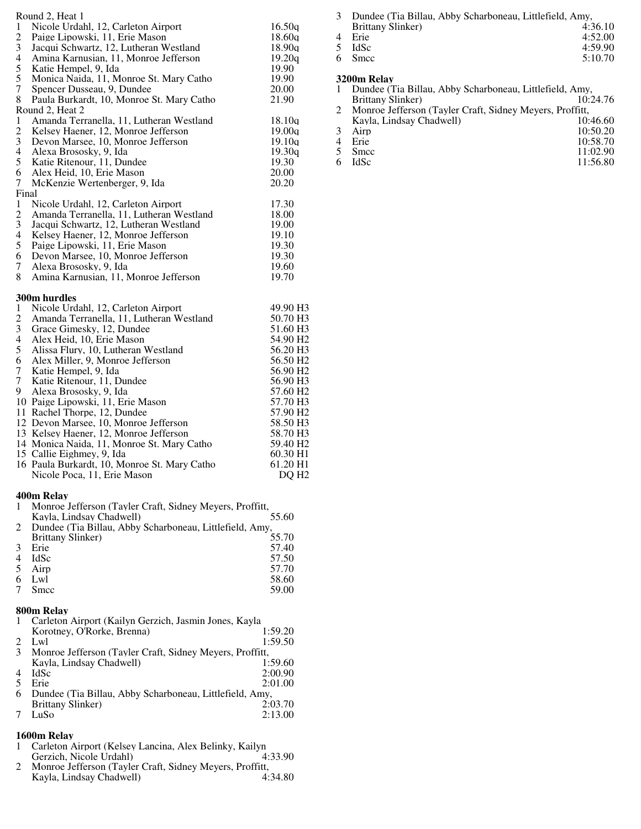| 1<br>$\overline{c}$<br>3<br>$\overline{\mathcal{L}}$<br>5<br>5<br>7<br>8<br>$\mathbf{1}$<br>$\overline{c}$<br>3<br>$\overline{4}$<br>5<br>6<br>7<br>Final<br>$\mathbf{1}$<br>$\overline{c}$ | Round 2, Heat 1<br>Nicole Urdahl, 12, Carleton Airport<br>Paige Lipowski, 11, Erie Mason<br>Jacqui Schwartz, 12, Lutheran Westland<br>Amina Karnusian, 11, Monroe Jefferson<br>Katie Hempel, 9, Ida<br>Monica Naida, 11, Monroe St. Mary Catho<br>Spencer Dusseau, 9, Dundee<br>Paula Burkardt, 10, Monroe St. Mary Catho<br>Round 2, Heat 2<br>Amanda Terranella, 11, Lutheran Westland<br>Kelsey Haener, 12, Monroe Jefferson<br>Devon Marsee, 10, Monroe Jefferson<br>Alexa Brososky, 9, Ida<br>Katie Ritenour, 11, Dundee<br>Alex Heid, 10, Erie Mason<br>McKenzie Wertenberger, 9, Ida<br>Nicole Urdahl, 12, Carleton Airport<br>Amanda Terranella, 11, Lutheran Westland | 16.50q<br>18.60q<br>18.90q<br>19.20q<br>19.90<br>19.90<br>20.00<br>21.90<br>18.10q<br>19.00q<br>19.10a<br>19.30q<br>19.30<br>20.00<br>20.20<br>17.30<br>18.00                                                                                                                             |  |
|---------------------------------------------------------------------------------------------------------------------------------------------------------------------------------------------|--------------------------------------------------------------------------------------------------------------------------------------------------------------------------------------------------------------------------------------------------------------------------------------------------------------------------------------------------------------------------------------------------------------------------------------------------------------------------------------------------------------------------------------------------------------------------------------------------------------------------------------------------------------------------------|-------------------------------------------------------------------------------------------------------------------------------------------------------------------------------------------------------------------------------------------------------------------------------------------|--|
| 3<br>$\overline{4}$<br>5<br>6<br>7<br>8                                                                                                                                                     | Jacqui Schwartz, 12, Lutheran Westland<br>Kelsey Haener, 12, Monroe Jefferson<br>Paige Lipowski, 11, Erie Mason<br>Devon Marsee, 10, Monroe Jefferson<br>Alexa Brososky, 9, Ida<br>Amina Karnusian, 11, Monroe Jefferson                                                                                                                                                                                                                                                                                                                                                                                                                                                       | 19.00<br>19.10<br>19.30<br>19.30<br>19.60<br>19.70                                                                                                                                                                                                                                        |  |
|                                                                                                                                                                                             | 300m hurdles                                                                                                                                                                                                                                                                                                                                                                                                                                                                                                                                                                                                                                                                   |                                                                                                                                                                                                                                                                                           |  |
| 1<br>2<br>3<br>$\overline{4}$<br>5<br>6<br>7<br>$\tau$<br>9.                                                                                                                                | Nicole Urdahl, 12, Carleton Airport<br>Amanda Terranella, 11, Lutheran Westland<br>Grace Gimesky, 12, Dundee<br>Alex Heid, 10, Erie Mason<br>Alissa Flury, 10, Lutheran Westland<br>Alex Miller, 9, Monroe Jefferson<br>Katie Hempel, 9, Ida<br>Katie Ritenour, 11, Dundee<br>Alexa Brososky, 9, Ida<br>10 Paige Lipowski, 11, Erie Mason<br>11 Rachel Thorpe, 12, Dundee<br>12 Devon Marsee, 10, Monroe Jefferson<br>13 Kelsey Haener, 12, Monroe Jefferson<br>14 Monica Naida, 11, Monroe St. Mary Catho<br>15 Callie Eighmey, 9, Ida<br>16 Paula Burkardt, 10, Monroe St. Mary Catho<br>Nicole Poca, 11, Erie Mason                                                         | 49.90 H3<br>50.70 H3<br>51.60 H3<br>54.90 H <sub>2</sub><br>56.20 H3<br>56.50 H <sub>2</sub><br>56.90 H <sub>2</sub><br>56.90 H3<br>57.60 H <sub>2</sub><br>57.70 H3<br>57.90 H <sub>2</sub><br>58.50 H3<br>58.70 H3<br>59.40 H <sub>2</sub><br>60.30 H1<br>61.20 H1<br>DQ H <sub>2</sub> |  |
| 1                                                                                                                                                                                           | 400m Relay<br>Monroe Jefferson (Tayler Craft, Sidney Meyers, Proffitt,                                                                                                                                                                                                                                                                                                                                                                                                                                                                                                                                                                                                         |                                                                                                                                                                                                                                                                                           |  |
| 2                                                                                                                                                                                           | Kayla, Lindsay Chadwell)<br>Dundee (Tia Billau, Abby Scharboneau, Littlefield, Amy,                                                                                                                                                                                                                                                                                                                                                                                                                                                                                                                                                                                            | 55.60                                                                                                                                                                                                                                                                                     |  |
| 3<br>4<br>5<br>6<br>7                                                                                                                                                                       | <b>Brittany Slinker</b> )<br>Erie<br>IdSc<br>Airp<br>Lwl<br>Smcc                                                                                                                                                                                                                                                                                                                                                                                                                                                                                                                                                                                                               | 55.70<br>57.40<br>57.50<br>57.70<br>58.60<br>59.00                                                                                                                                                                                                                                        |  |
| 1<br>2<br>3                                                                                                                                                                                 | 800m Relay<br>Carleton Airport (Kailyn Gerzich, Jasmin Jones, Kayla<br>Korotney, O'Rorke, Brenna)<br>Lwl<br>Monroe Jefferson (Tayler Craft, Sidney Meyers, Proffitt,                                                                                                                                                                                                                                                                                                                                                                                                                                                                                                           | 1:59.20<br>1:59.50                                                                                                                                                                                                                                                                        |  |

|                | Kayla, Lindsay Chadwell)                                | 1:59.60 |
|----------------|---------------------------------------------------------|---------|
| $\overline{4}$ | IdSc                                                    | 2:00.90 |
|                | 5 Erie                                                  | 2:01.00 |
| 6              | Dundee (Tia Billau, Abby Scharboneau, Littlefield, Amy, |         |
|                | Brittany Slinker)                                       | 2:03.70 |

LuSo 2:13.00

# **1600m Relay**

- Carleton Airport (Kelsey Lancina, Alex Belinky, Kailyn Gerzich, Nicole Urdahl) 4:33.90
- Monroe Jefferson (Tayler Craft, Sidney Meyers, Proffitt, Kayla, Lindsay Chadwell) 4:34.80

 Dundee (Tia Billau, Abby Scharboneau, Littlefield, Amy, Brittany Slinker) 4:36.10 4 Erie 4:52.00<br>5 IdSc 4:59.90 5 IdSc 4:59.90<br>6 Smcc 5:10.70 5:10.70

## **3200m Relay**

|  | Э400Ш ІХЛАУ                                              |          |
|--|----------------------------------------------------------|----------|
|  | Dundee (Tia Billau, Abby Scharboneau, Littlefield, Amy,  |          |
|  | <b>Brittany Slinker</b> )                                | 10:24.76 |
|  | Monroe Jefferson (Tayler Craft, Sidney Meyers, Proffitt, |          |
|  | Kayla, Lindsay Chadwell)                                 | 10:46.60 |
|  | Airp                                                     | 10:50.20 |
|  | Erie                                                     | 10:58.70 |
|  | <b>Smcc</b>                                              | 11:02.90 |
|  | IdSc                                                     | 11:56.80 |
|  |                                                          |          |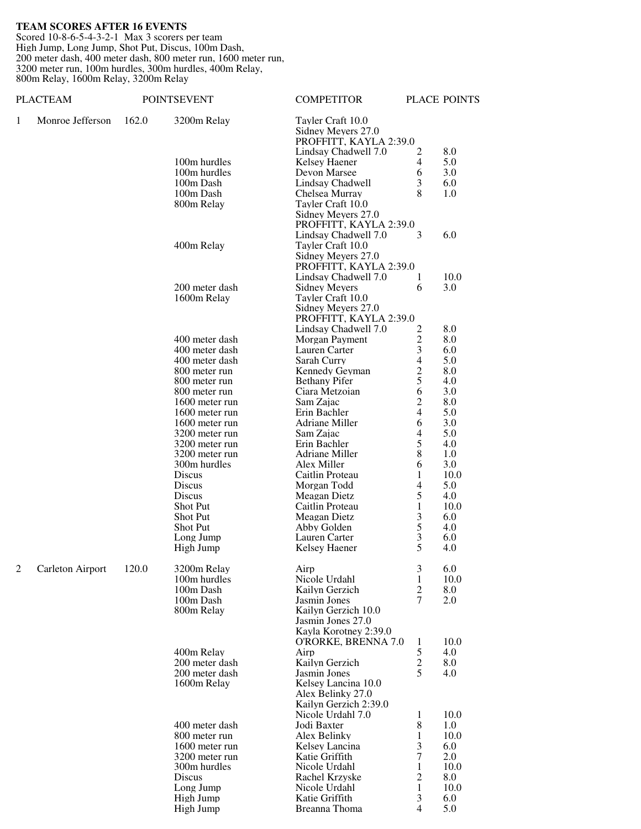#### **TEAM SCORES AFTER 16 EVENTS**

Scored 10-8-6-5-4-3-2-1 Max 3 scorers per team High Jump, Long Jump, Shot Put, Discus, 100m Dash, 200 meter dash, 400 meter dash, 800 meter run, 1600 meter run, 3200 meter run, 100m hurdles, 300m hurdles, 400m Relay, 800m Relay, 1600m Relay, 3200m Relay

|   | <b>PLACTEAM</b>  |       | <b>POINTSEVENT</b>                           | <b>COMPETITOR</b>                                                 |                                  | PLACE POINTS |
|---|------------------|-------|----------------------------------------------|-------------------------------------------------------------------|----------------------------------|--------------|
| 1 | Monroe Jefferson | 162.0 | 3200m Relay                                  | Tayler Craft 10.0<br>Sidney Meyers 27.0<br>PROFFITT, KAYLA 2:39.0 |                                  |              |
|   |                  |       |                                              | Lindsay Chadwell 7.0                                              | 2                                | 8.0          |
|   |                  |       | 100m hurdles                                 | Kelsey Haener                                                     | 4                                | 5.0          |
|   |                  |       | 100m hurdles                                 | Devon Marsee                                                      | 6                                | 3.0          |
|   |                  |       | 100m Dash                                    | Lindsay Chadwell                                                  | 3                                | 6.0          |
|   |                  |       | 100m Dash                                    | Chelsea Murray                                                    | 8                                | 1.0          |
|   |                  |       | 800m Relay                                   | Tayler Craft 10.0                                                 |                                  |              |
|   |                  |       |                                              | Sidney Meyers 27.0<br>PROFFITT, KAYLA 2:39.0                      |                                  |              |
|   |                  |       |                                              | Lindsay Chadwell 7.0                                              | 3                                | 6.0          |
|   |                  |       | 400m Relay                                   | Tayler Craft 10.0                                                 |                                  |              |
|   |                  |       |                                              | Sidney Meyers 27.0                                                |                                  |              |
|   |                  |       |                                              | PROFFITT, KAYLA 2:39.0                                            |                                  |              |
|   |                  |       |                                              | Lindsay Chadwell 7.0                                              | 1                                | 10.0         |
|   |                  |       | 200 meter dash                               | <b>Sidney Meyers</b>                                              | 6                                | 3.0          |
|   |                  |       | 1600m Relay                                  | Tayler Craft 10.0                                                 |                                  |              |
|   |                  |       | Sidney Meyers 27.0<br>PROFFITT, KAYLA 2:39.0 |                                                                   |                                  |              |
|   |                  |       | Lindsay Chadwell 7.0                         | $\overline{c}$                                                    | 8.0                              |              |
|   |                  |       | 400 meter dash                               | Morgan Payment                                                    |                                  | 8.0          |
|   |                  |       | 400 meter dash                               | Lauren Carter                                                     | $\frac{2}{3}$                    | 6.0          |
|   |                  |       | 400 meter dash                               | Sarah Curry                                                       | $\overline{\mathbf{4}}$          | 5.0          |
|   |                  |       | 800 meter run                                | Kennedy Geyman                                                    | $rac{2}{5}$                      | 8.0          |
|   |                  |       | 800 meter run                                | <b>Bethany Pifer</b>                                              |                                  | 4.0          |
|   |                  |       | 800 meter run                                | Ciara Metzoian                                                    | 6                                | 3.0          |
|   |                  |       | 1600 meter run<br>1600 meter run             | Sam Zajac<br>Erin Bachler                                         | $\mathfrak{2}$<br>$\overline{4}$ | 8.0<br>5.0   |
|   |                  |       | 1600 meter run                               | Adriane Miller                                                    | 6                                | 3.0          |
|   |                  |       | 3200 meter run                               | Sam Zajac                                                         | 4                                | 5.0          |
|   |                  |       | 3200 meter run                               | Erin Bachler                                                      | 5                                | 4.0          |
|   |                  |       | 3200 meter run                               | Adriane Miller                                                    | 8                                | 1.0          |
|   |                  |       | 300m hurdles                                 | Alex Miller                                                       | 6                                | 3.0          |
|   |                  |       | Discus                                       | Caitlin Proteau                                                   | 1                                | 10.0         |
|   |                  |       | Discus                                       | Morgan Todd                                                       | 4                                | 5.0          |
|   |                  |       | Discus                                       | Meagan Dietz                                                      | 5                                | 4.0          |
|   |                  |       | Shot Put<br>Shot Put                         | Caitlin Proteau<br>Meagan Dietz                                   | $\mathbf{1}$<br>3                | 10.0<br>6.0  |
|   |                  |       | Shot Put                                     | Abby Golden                                                       |                                  | 4.0          |
|   |                  |       | Long Jump                                    | Lauren Carter                                                     | $\frac{5}{3}$                    | 6.0          |
|   |                  |       | High Jump                                    | Kelsey Haener                                                     | 5                                | 4.0          |
|   |                  |       |                                              |                                                                   |                                  |              |
| 2 | Carleton Airport | 120.0 | 3200m Relay<br>100m hurdles                  | Airp<br>Nicole Urdahl                                             | 3<br>$\mathbf{1}$                | 6.0<br>10.0  |
|   |                  |       | 100m Dash                                    | Kailyn Gerzich                                                    | $\boldsymbol{2}$                 | 8.0          |
|   |                  |       | 100m Dash                                    | Jasmin Jones                                                      | 7                                | 2.0          |
|   |                  |       | 800m Relay                                   | Kailyn Gerzich 10.0                                               |                                  |              |
|   |                  |       |                                              | Jasmin Jones 27.0                                                 |                                  |              |
|   |                  |       |                                              | Kayla Korotney 2:39.0                                             |                                  |              |
|   |                  |       |                                              | O'RORKE, BRENNA 7.0                                               | $\mathbf{1}$                     | 10.0         |
|   |                  |       | 400m Relay<br>200 meter dash                 | Airp<br>Kailyn Gerzich                                            | $\mathfrak s$<br>$\sqrt{2}$      | 4.0<br>8.0   |
|   |                  |       | 200 meter dash                               | Jasmin Jones                                                      | 5                                | 4.0          |
|   |                  |       | 1600m Relay                                  | Kelsey Lancina 10.0                                               |                                  |              |
|   |                  |       |                                              | Alex Belinky 27.0                                                 |                                  |              |
|   |                  |       |                                              | Kailyn Gerzich 2:39.0                                             |                                  |              |
|   |                  |       |                                              | Nicole Urdahl 7.0                                                 | 1                                | 10.0         |
|   |                  |       | 400 meter dash                               | Jodi Baxter                                                       | 8                                | 1.0          |
|   |                  |       | 800 meter run                                | Alex Belinky                                                      | 1                                | 10.0         |
|   |                  |       | 1600 meter run<br>3200 meter run             | Kelsey Lancina<br>Katie Griffith                                  | 3<br>7                           | 6.0<br>2.0   |
|   |                  |       | 300m hurdles                                 | Nicole Urdahl                                                     | 1                                | 10.0         |
|   |                  |       | Discus                                       | Rachel Krzyske                                                    | $\mathfrak{2}$                   | 8.0          |
|   |                  |       | Long Jump                                    | Nicole Urdahl                                                     | 1                                | 10.0         |
|   |                  |       | High Jump                                    | Katie Griffith                                                    | 3                                | 6.0          |
|   |                  |       | High Jump                                    | Breanna Thoma                                                     | $\overline{4}$                   | 5.0          |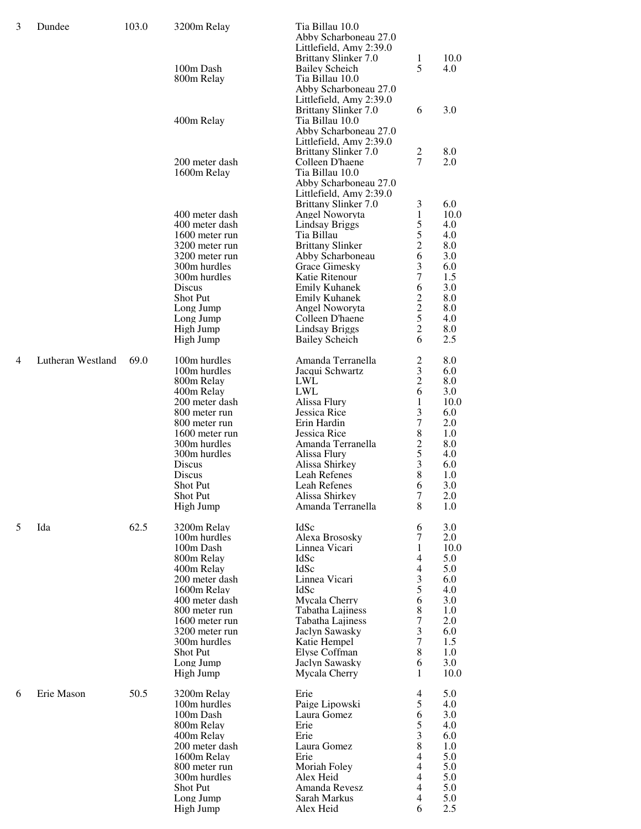| 3 | Dundee            | 103.0 | 3200m Relay                      | Tia Billau 10.0                                  |                     |            |
|---|-------------------|-------|----------------------------------|--------------------------------------------------|---------------------|------------|
|   |                   |       |                                  | Abby Scharboneau 27.0                            |                     |            |
|   |                   |       |                                  | Littlefield, Amy 2:39.0<br>Brittany Slinker 7.0  | 1                   | 10.0       |
|   |                   |       | 100m Dash                        | <b>Bailey Scheich</b>                            | 5                   | 4.0        |
|   |                   |       | 800m Relay                       | Tia Billau 10.0                                  |                     |            |
|   |                   |       |                                  | Abby Scharboneau 27.0                            |                     |            |
|   |                   |       |                                  | Littlefield, Amy 2:39.0                          |                     |            |
|   |                   |       |                                  | Brittany Slinker 7.0                             | 6                   | 3.0        |
|   |                   |       | 400m Relay                       | Tia Billau 10.0<br>Abby Scharboneau 27.0         |                     |            |
|   |                   |       |                                  | Littlefield, Amy 2:39.0                          |                     |            |
|   |                   |       |                                  | <b>Brittany Slinker 7.0</b>                      | $\overline{c}$      | 8.0        |
|   |                   |       | 200 meter dash                   | Colleen D'haene                                  | 7                   | 2.0        |
|   |                   |       | 1600m Relay                      | Tia Billau 10.0                                  |                     |            |
|   |                   |       |                                  | Abby Scharboneau 27.0<br>Littlefield, Amy 2:39.0 |                     |            |
|   |                   |       |                                  | Brittany Slinker 7.0                             | 3                   | 6.0        |
|   |                   |       | 400 meter dash                   | Angel Noworyta                                   | 1                   | 10.0       |
|   |                   |       | 400 meter dash                   | <b>Lindsay Briggs</b>                            | 5                   | 4.0        |
|   |                   |       | 1600 meter run                   | Tia Billau                                       | 5                   | 4.0        |
|   |                   |       | 3200 meter run                   | <b>Brittany Slinker</b>                          | $\overline{c}$      | 8.0        |
|   |                   |       | 3200 meter run<br>300m hurdles   | Abby Scharboneau<br>Grace Gimesky                | 6<br>3              | 3.0<br>6.0 |
|   |                   |       | 300m hurdles                     | Katie Ritenour                                   | 7                   | 1.5        |
|   |                   |       | Discus                           | <b>Emily Kuhanek</b>                             | 6                   | 3.0        |
|   |                   |       | Shot Put                         | <b>Emily Kuhanek</b>                             | $\overline{c}$      | 8.0        |
|   |                   |       | Long Jump                        | <b>Angel Noworyta</b>                            | $\overline{2}$      | 8.0        |
|   |                   |       | Long Jump<br>High Jump           | Colleen D'haene<br><b>Lindsay Briggs</b>         | 5<br>$\mathfrak{2}$ | 4.0<br>8.0 |
|   |                   |       | High Jump                        | <b>Bailey Scheich</b>                            | 6                   | 2.5        |
|   |                   |       |                                  |                                                  |                     |            |
| 4 | Lutheran Westland | 69.0  | 100m hurdles                     | Amanda Terranella                                | $\overline{c}$      | 8.0        |
|   |                   |       | 100m hurdles                     | Jacqui Schwartz                                  | 3<br>$\overline{2}$ | 6.0        |
|   |                   |       | 800m Relay<br>400m Relay         | LWL<br><b>LWL</b>                                | 6                   | 8.0<br>3.0 |
|   |                   |       | 200 meter dash                   | Alissa Flury                                     | 1                   | 10.0       |
|   |                   |       | 800 meter run                    | Jessica Rice                                     | 3                   | 6.0        |
|   |                   |       | 800 meter run                    | Erin Hardin                                      | 7                   | 2.0        |
|   |                   |       | 1600 meter run                   | Jessica Rice                                     | $\,8\,$             | 1.0        |
|   |                   |       | 300m hurdles<br>300m hurdles     | Amanda Terranella                                | $\overline{c}$<br>5 | 8.0<br>4.0 |
|   |                   |       | Discus                           | Alissa Flury<br>Alissa Shirkey                   | 3                   | 6.0        |
|   |                   |       | Discus                           | <b>Leah Refenes</b>                              | 8                   | 1.0        |
|   |                   |       | <b>Shot Put</b>                  | <b>Leah Refenes</b>                              | 6                   | 3.0        |
|   |                   |       | Shot Put                         | Alissa Shirkey                                   | $\tau$              | 2.0        |
|   |                   |       | High Jump                        | Amanda Terranella                                | 8                   | 1.0        |
| 5 | Ida               | 62.5  | 3200m Relay                      | IdSc                                             | 6                   | 3.0        |
|   |                   |       | 100m hurdles                     | Alexa Brososky                                   | 7                   | 2.0        |
|   |                   |       | 100m Dash                        | Linnea Vicari                                    | 1                   | 10.0       |
|   |                   |       | 800m Relay<br>400m Relay         | IdSc<br><b>IdSc</b>                              | 4<br>$\overline{4}$ | 5.0<br>5.0 |
|   |                   |       | 200 meter dash                   | Linnea Vicari                                    | $\mathfrak{Z}$      | 6.0        |
|   |                   |       | 1600m Relay                      | IdSc                                             | 5                   | 4.0        |
|   |                   |       | 400 meter dash                   | Mycala Cherry                                    | 6                   | 3.0        |
|   |                   |       | 800 meter run                    | Tabatha Lajiness                                 | 8                   | 1.0        |
|   |                   |       | 1600 meter run<br>3200 meter run | Tabatha Lajiness<br>Jaclyn Sawasky               | 7<br>3              | 2.0<br>6.0 |
|   |                   |       | 300m hurdles                     | Katie Hempel                                     | $\tau$              | 1.5        |
|   |                   |       | <b>Shot Put</b>                  | Elyse Coffman                                    | 8                   | 1.0        |
|   |                   |       | Long Jump                        | Jaclyn Sawasky                                   | 6                   | 3.0        |
|   |                   |       | High Jump                        | Mycala Cherry                                    | 1                   | 10.0       |
| 6 | Erie Mason        | 50.5  | 3200m Relay                      | Erie                                             | 4                   | 5.0        |
|   |                   |       | 100m hurdles                     | Paige Lipowski                                   | 5                   | 4.0        |
|   |                   |       | 100m Dash                        | Laura Gomez                                      | 6                   | 3.0        |
|   |                   |       | 800m Relay                       | Erie<br>Erie                                     | 5                   | 4.0        |
|   |                   |       | 400m Relay<br>200 meter dash     | Laura Gomez                                      | 3<br>8              | 6.0<br>1.0 |
|   |                   |       | 1600m Relay                      | Erie                                             | 4                   | 5.0        |
|   |                   |       | 800 meter run                    | Moriah Foley                                     | $\overline{4}$      | 5.0        |
|   |                   |       | 300m hurdles                     | Alex Heid                                        | 4                   | 5.0        |
|   |                   |       | <b>Shot Put</b>                  | Amanda Revesz                                    | $\overline{4}$      | 5.0        |
|   |                   |       | Long Jump<br>High Jump           | Sarah Markus<br>Alex Heid                        | 4<br>6              | 5.0<br>2.5 |
|   |                   |       |                                  |                                                  |                     |            |